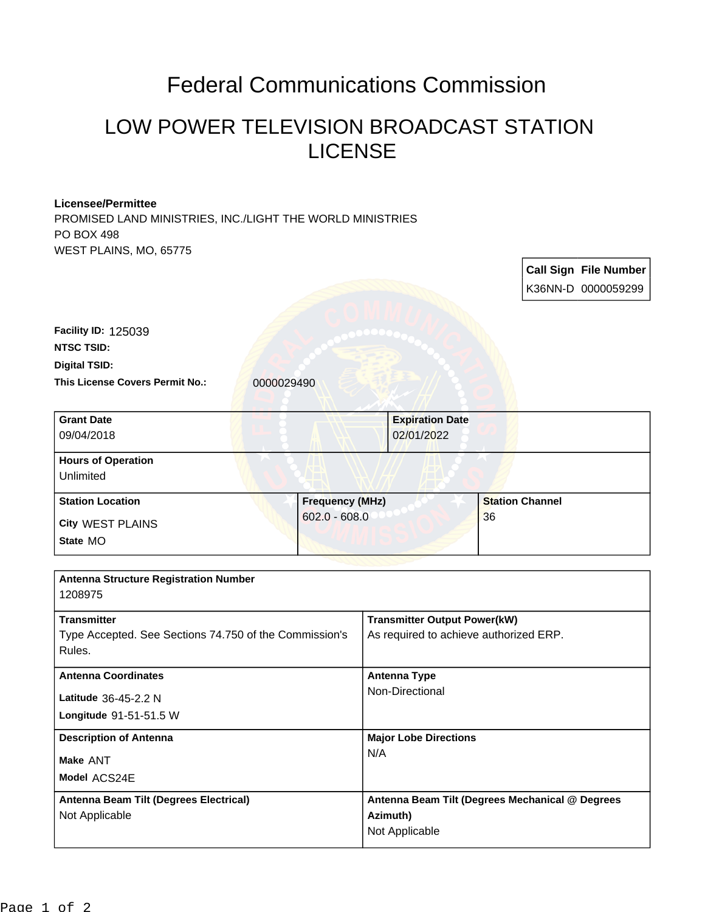## Federal Communications Commission

## LOW POWER TELEVISION BROADCAST STATION LICENSE

## **Licensee/Permittee** PROMISED LAND MINISTRIES, INC./LIGHT THE WORLD MINISTRIES PO BOX 498 WEST PLAINS, MO, 65775

| K36NN-D 0000059299<br>Facility ID: 125039<br><b>NTSC TSID:</b><br><b>Digital TSID:</b><br>This License Covers Permit No.:<br>0000029490<br><b>Grant Date</b><br><b>Expiration Date</b><br>09/04/2018<br>02/01/2022<br><b>Hours of Operation</b><br>Unlimited<br><b>Frequency (MHz)</b><br><b>Station Channel</b><br><b>Station Location</b><br>$602.0 - 608.0$<br>36<br><b>City WEST PLAINS</b><br>State MO<br><b>Antenna Structure Registration Number</b><br>1208975<br><b>Transmitter</b><br><b>Transmitter Output Power(kW)</b><br>Type Accepted. See Sections 74.750 of the Commission's<br>As required to achieve authorized ERP.<br>Rules.<br><b>Antenna Type</b><br><b>Antenna Coordinates</b><br>Non-Directional<br>Latitude 36-45-2.2 N<br>Longitude 91-51-51.5 W<br><b>Major Lobe Directions</b><br><b>Description of Antenna</b><br>N/A<br>Make ANT<br>Model ACS24E<br>Antenna Beam Tilt (Degrees Electrical)<br>Antenna Beam Tilt (Degrees Mechanical @ Degrees<br>Azimuth)<br>Not Applicable |  |  |                |  |  | <b>Call Sign File Number</b> |
|------------------------------------------------------------------------------------------------------------------------------------------------------------------------------------------------------------------------------------------------------------------------------------------------------------------------------------------------------------------------------------------------------------------------------------------------------------------------------------------------------------------------------------------------------------------------------------------------------------------------------------------------------------------------------------------------------------------------------------------------------------------------------------------------------------------------------------------------------------------------------------------------------------------------------------------------------------------------------------------------------------|--|--|----------------|--|--|------------------------------|
|                                                                                                                                                                                                                                                                                                                                                                                                                                                                                                                                                                                                                                                                                                                                                                                                                                                                                                                                                                                                            |  |  |                |  |  |                              |
|                                                                                                                                                                                                                                                                                                                                                                                                                                                                                                                                                                                                                                                                                                                                                                                                                                                                                                                                                                                                            |  |  |                |  |  |                              |
|                                                                                                                                                                                                                                                                                                                                                                                                                                                                                                                                                                                                                                                                                                                                                                                                                                                                                                                                                                                                            |  |  |                |  |  |                              |
|                                                                                                                                                                                                                                                                                                                                                                                                                                                                                                                                                                                                                                                                                                                                                                                                                                                                                                                                                                                                            |  |  |                |  |  |                              |
|                                                                                                                                                                                                                                                                                                                                                                                                                                                                                                                                                                                                                                                                                                                                                                                                                                                                                                                                                                                                            |  |  |                |  |  |                              |
|                                                                                                                                                                                                                                                                                                                                                                                                                                                                                                                                                                                                                                                                                                                                                                                                                                                                                                                                                                                                            |  |  |                |  |  |                              |
|                                                                                                                                                                                                                                                                                                                                                                                                                                                                                                                                                                                                                                                                                                                                                                                                                                                                                                                                                                                                            |  |  |                |  |  |                              |
|                                                                                                                                                                                                                                                                                                                                                                                                                                                                                                                                                                                                                                                                                                                                                                                                                                                                                                                                                                                                            |  |  |                |  |  |                              |
|                                                                                                                                                                                                                                                                                                                                                                                                                                                                                                                                                                                                                                                                                                                                                                                                                                                                                                                                                                                                            |  |  |                |  |  |                              |
|                                                                                                                                                                                                                                                                                                                                                                                                                                                                                                                                                                                                                                                                                                                                                                                                                                                                                                                                                                                                            |  |  |                |  |  |                              |
|                                                                                                                                                                                                                                                                                                                                                                                                                                                                                                                                                                                                                                                                                                                                                                                                                                                                                                                                                                                                            |  |  |                |  |  |                              |
|                                                                                                                                                                                                                                                                                                                                                                                                                                                                                                                                                                                                                                                                                                                                                                                                                                                                                                                                                                                                            |  |  |                |  |  |                              |
|                                                                                                                                                                                                                                                                                                                                                                                                                                                                                                                                                                                                                                                                                                                                                                                                                                                                                                                                                                                                            |  |  |                |  |  |                              |
|                                                                                                                                                                                                                                                                                                                                                                                                                                                                                                                                                                                                                                                                                                                                                                                                                                                                                                                                                                                                            |  |  |                |  |  |                              |
|                                                                                                                                                                                                                                                                                                                                                                                                                                                                                                                                                                                                                                                                                                                                                                                                                                                                                                                                                                                                            |  |  |                |  |  |                              |
|                                                                                                                                                                                                                                                                                                                                                                                                                                                                                                                                                                                                                                                                                                                                                                                                                                                                                                                                                                                                            |  |  |                |  |  |                              |
|                                                                                                                                                                                                                                                                                                                                                                                                                                                                                                                                                                                                                                                                                                                                                                                                                                                                                                                                                                                                            |  |  |                |  |  |                              |
|                                                                                                                                                                                                                                                                                                                                                                                                                                                                                                                                                                                                                                                                                                                                                                                                                                                                                                                                                                                                            |  |  |                |  |  |                              |
|                                                                                                                                                                                                                                                                                                                                                                                                                                                                                                                                                                                                                                                                                                                                                                                                                                                                                                                                                                                                            |  |  |                |  |  |                              |
|                                                                                                                                                                                                                                                                                                                                                                                                                                                                                                                                                                                                                                                                                                                                                                                                                                                                                                                                                                                                            |  |  |                |  |  |                              |
|                                                                                                                                                                                                                                                                                                                                                                                                                                                                                                                                                                                                                                                                                                                                                                                                                                                                                                                                                                                                            |  |  |                |  |  |                              |
|                                                                                                                                                                                                                                                                                                                                                                                                                                                                                                                                                                                                                                                                                                                                                                                                                                                                                                                                                                                                            |  |  | Not Applicable |  |  |                              |